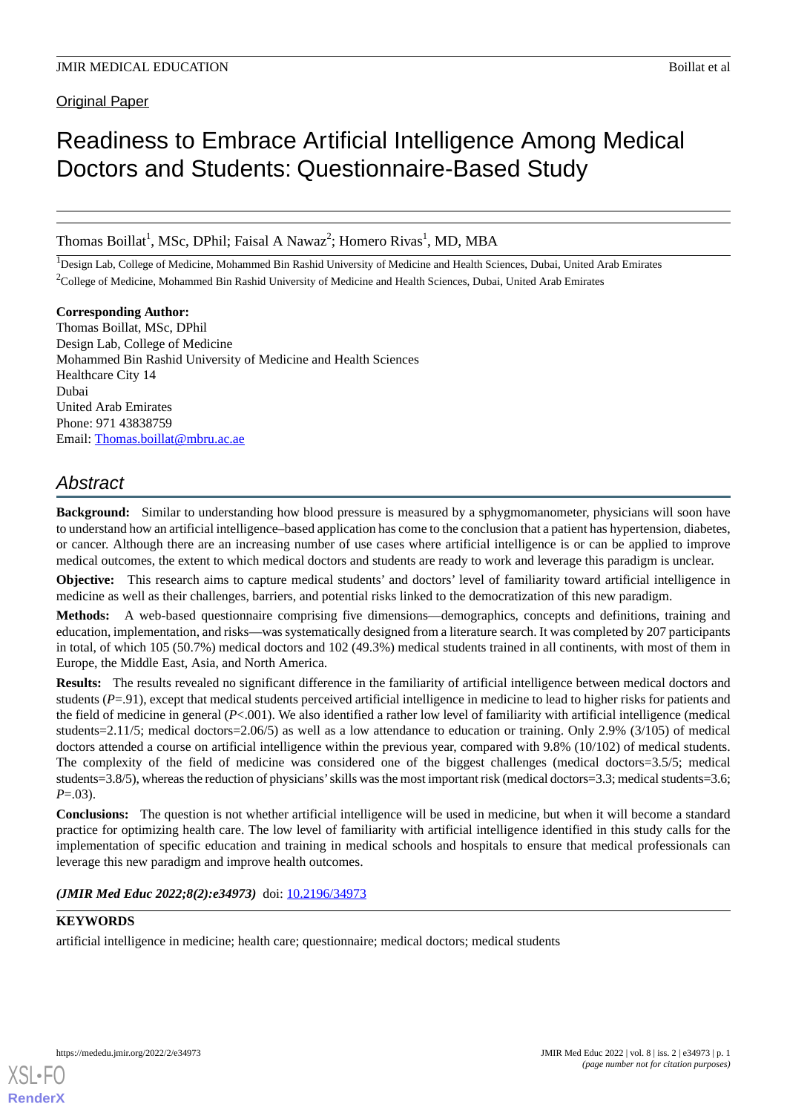Original Paper

# Readiness to Embrace Artificial Intelligence Among Medical Doctors and Students: Questionnaire-Based Study

Thomas Boillat<sup>1</sup>, MSc, DPhil; Faisal A Nawaz<sup>2</sup>; Homero Rivas<sup>1</sup>, MD, MBA

<sup>1</sup>Design Lab, College of Medicine, Mohammed Bin Rashid University of Medicine and Health Sciences, Dubai, United Arab Emirates <sup>2</sup>College of Medicine, Mohammed Bin Rashid University of Medicine and Health Sciences, Dubai, United Arab Emirates

**Corresponding Author:** Thomas Boillat, MSc, DPhil Design Lab, College of Medicine Mohammed Bin Rashid University of Medicine and Health Sciences Healthcare City 14 Dubai United Arab Emirates Phone: 971 43838759 Email: [Thomas.boillat@mbru.ac.ae](mailto:Thomas.boillat@mbru.ac.ae)

# *Abstract*

**Background:** Similar to understanding how blood pressure is measured by a sphygmomanometer, physicians will soon have to understand how an artificial intelligence–based application has come to the conclusion that a patient has hypertension, diabetes, or cancer. Although there are an increasing number of use cases where artificial intelligence is or can be applied to improve medical outcomes, the extent to which medical doctors and students are ready to work and leverage this paradigm is unclear.

**Objective:** This research aims to capture medical students' and doctors' level of familiarity toward artificial intelligence in medicine as well as their challenges, barriers, and potential risks linked to the democratization of this new paradigm.

**Methods:** A web-based questionnaire comprising five dimensions—demographics, concepts and definitions, training and education, implementation, and risks—was systematically designed from a literature search. It was completed by 207 participants in total, of which 105 (50.7%) medical doctors and 102 (49.3%) medical students trained in all continents, with most of them in Europe, the Middle East, Asia, and North America.

**Results:** The results revealed no significant difference in the familiarity of artificial intelligence between medical doctors and students ( $P=0$ ), except that medical students perceived artificial intelligence in medicine to lead to higher risks for patients and the field of medicine in general (*P*<.001). We also identified a rather low level of familiarity with artificial intelligence (medical students=2.11/5; medical doctors=2.06/5) as well as a low attendance to education or training. Only 2.9% (3/105) of medical doctors attended a course on artificial intelligence within the previous year, compared with 9.8% (10/102) of medical students. The complexity of the field of medicine was considered one of the biggest challenges (medical doctors=3.5/5; medical students=3.8/5), whereas the reduction of physicians'skills was the most important risk (medical doctors=3.3; medical students=3.6; *P*=.03).

**Conclusions:** The question is not whether artificial intelligence will be used in medicine, but when it will become a standard practice for optimizing health care. The low level of familiarity with artificial intelligence identified in this study calls for the implementation of specific education and training in medical schools and hospitals to ensure that medical professionals can leverage this new paradigm and improve health outcomes.

(JMIR Med Educ 2022;8(2):e34973) doi: [10.2196/34973](http://dx.doi.org/10.2196/34973)

#### **KEYWORDS**

artificial intelligence in medicine; health care; questionnaire; medical doctors; medical students

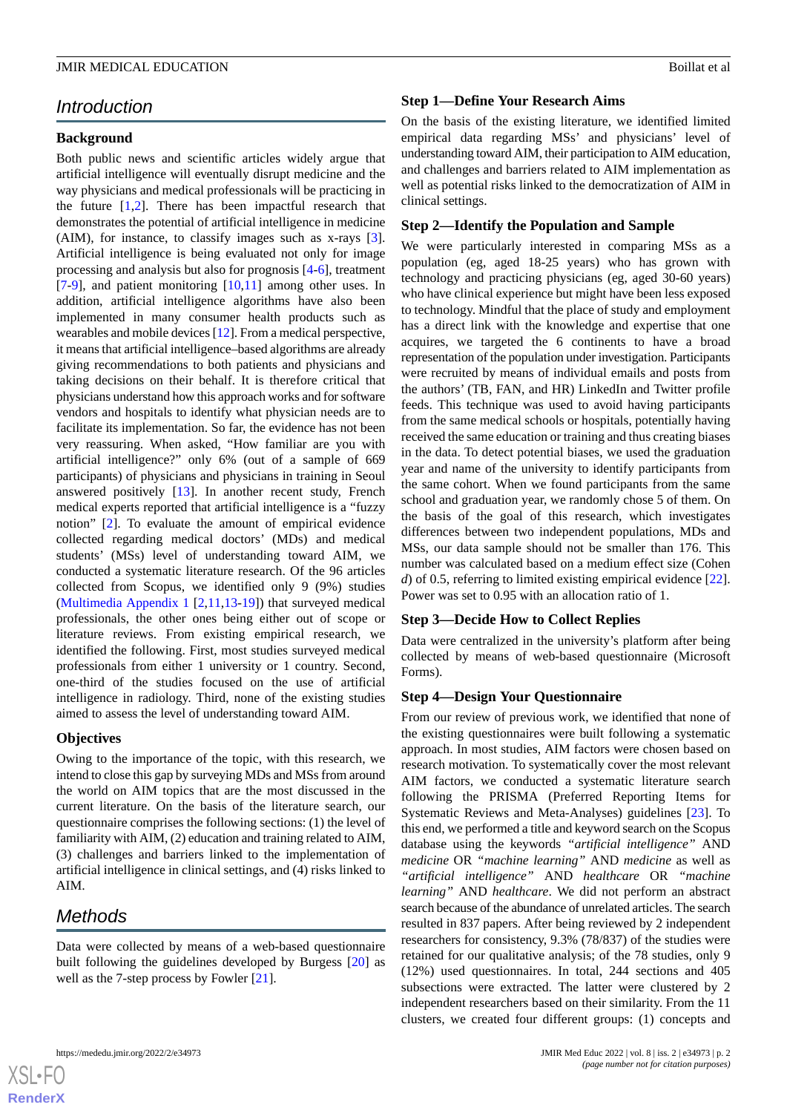# *Introduction*

#### **Background**

Both public news and scientific articles widely argue that artificial intelligence will eventually disrupt medicine and the way physicians and medical professionals will be practicing in the future  $[1,2]$  $[1,2]$  $[1,2]$ . There has been impactful research that demonstrates the potential of artificial intelligence in medicine (AIM), for instance, to classify images such as x-rays [[3\]](#page-12-2). Artificial intelligence is being evaluated not only for image processing and analysis but also for prognosis [\[4](#page-12-3)[-6\]](#page-12-4), treatment [[7](#page-12-5)[-9](#page-12-6)], and patient monitoring [\[10](#page-12-7),[11\]](#page-13-0) among other uses. In addition, artificial intelligence algorithms have also been implemented in many consumer health products such as wearables and mobile devices [\[12](#page-13-1)]. From a medical perspective, it means that artificial intelligence–based algorithms are already giving recommendations to both patients and physicians and taking decisions on their behalf. It is therefore critical that physicians understand how this approach works and for software vendors and hospitals to identify what physician needs are to facilitate its implementation. So far, the evidence has not been very reassuring. When asked, "How familiar are you with artificial intelligence?" only 6% (out of a sample of 669 participants) of physicians and physicians in training in Seoul answered positively [[13\]](#page-13-2). In another recent study, French medical experts reported that artificial intelligence is a "fuzzy notion" [[2\]](#page-12-1). To evaluate the amount of empirical evidence collected regarding medical doctors' (MDs) and medical students' (MSs) level of understanding toward AIM, we conducted a systematic literature research. Of the 96 articles collected from Scopus, we identified only 9 (9%) studies ([Multimedia Appendix 1](#page-12-8) [[2,](#page-12-1)[11](#page-13-0),[13-](#page-13-2)[19](#page-13-3)]) that surveyed medical professionals, the other ones being either out of scope or literature reviews. From existing empirical research, we identified the following. First, most studies surveyed medical professionals from either 1 university or 1 country. Second, one-third of the studies focused on the use of artificial intelligence in radiology. Third, none of the existing studies aimed to assess the level of understanding toward AIM.

#### **Objectives**

Owing to the importance of the topic, with this research, we intend to close this gap by surveying MDs and MSs from around the world on AIM topics that are the most discussed in the current literature. On the basis of the literature search, our questionnaire comprises the following sections: (1) the level of familiarity with AIM, (2) education and training related to AIM, (3) challenges and barriers linked to the implementation of artificial intelligence in clinical settings, and (4) risks linked to AIM.

# *Methods*

Data were collected by means of a web-based questionnaire built following the guidelines developed by Burgess [\[20](#page-13-4)] as well as the 7-step process by Fowler [[21\]](#page-13-5).

#### **Step 1—Define Your Research Aims**

On the basis of the existing literature, we identified limited empirical data regarding MSs' and physicians' level of understanding toward AIM, their participation to AIM education, and challenges and barriers related to AIM implementation as well as potential risks linked to the democratization of AIM in clinical settings.

#### **Step 2—Identify the Population and Sample**

We were particularly interested in comparing MSs as a population (eg, aged 18-25 years) who has grown with technology and practicing physicians (eg, aged 30-60 years) who have clinical experience but might have been less exposed to technology. Mindful that the place of study and employment has a direct link with the knowledge and expertise that one acquires, we targeted the 6 continents to have a broad representation of the population under investigation. Participants were recruited by means of individual emails and posts from the authors' (TB, FAN, and HR) LinkedIn and Twitter profile feeds. This technique was used to avoid having participants from the same medical schools or hospitals, potentially having received the same education or training and thus creating biases in the data. To detect potential biases, we used the graduation year and name of the university to identify participants from the same cohort. When we found participants from the same school and graduation year, we randomly chose 5 of them. On the basis of the goal of this research, which investigates differences between two independent populations, MDs and MSs, our data sample should not be smaller than 176. This number was calculated based on a medium effect size (Cohen *d*) of 0.5, referring to limited existing empirical evidence [[22\]](#page-13-6). Power was set to 0.95 with an allocation ratio of 1.

#### **Step 3—Decide How to Collect Replies**

Data were centralized in the university's platform after being collected by means of web-based questionnaire (Microsoft Forms).

#### **Step 4—Design Your Questionnaire**

From our review of previous work, we identified that none of the existing questionnaires were built following a systematic approach. In most studies, AIM factors were chosen based on research motivation. To systematically cover the most relevant AIM factors, we conducted a systematic literature search following the PRISMA (Preferred Reporting Items for Systematic Reviews and Meta-Analyses) guidelines [[23\]](#page-13-7). To this end, we performed a title and keyword search on the Scopus database using the keywords *"artificial intelligence"* AND *medicine* OR *"machine learning"* AND *medicine* as well as *"artificial intelligence"* AND *healthcare* OR *"machine learning"* AND *healthcare*. We did not perform an abstract search because of the abundance of unrelated articles. The search resulted in 837 papers. After being reviewed by 2 independent researchers for consistency, 9.3% (78/837) of the studies were retained for our qualitative analysis; of the 78 studies, only 9 (12%) used questionnaires. In total, 244 sections and 405 subsections were extracted. The latter were clustered by 2 independent researchers based on their similarity. From the 11 clusters, we created four different groups: (1) concepts and

```
XS\cdotFC
```
**[RenderX](http://www.renderx.com/)**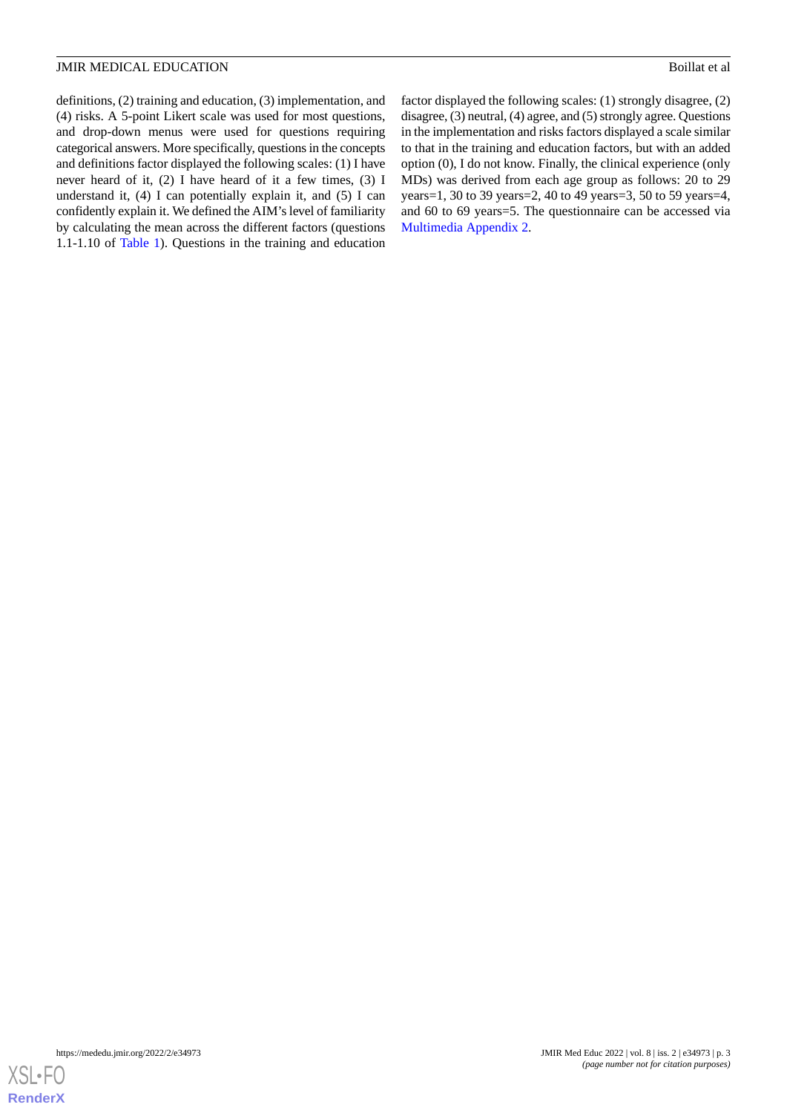definitions, (2) training and education, (3) implementation, and (4) risks. A 5-point Likert scale was used for most questions, and drop-down menus were used for questions requiring categorical answers. More specifically, questions in the concepts and definitions factor displayed the following scales: (1) I have never heard of it, (2) I have heard of it a few times, (3) I understand it, (4) I can potentially explain it, and (5) I can confidently explain it. We defined the AIM's level of familiarity by calculating the mean across the different factors (questions 1.1-1.10 of [Table 1](#page-3-0)). Questions in the training and education

factor displayed the following scales: (1) strongly disagree, (2) disagree, (3) neutral, (4) agree, and (5) strongly agree. Questions in the implementation and risks factors displayed a scale similar to that in the training and education factors, but with an added option (0), I do not know. Finally, the clinical experience (only MDs) was derived from each age group as follows: 20 to 29 years=1, 30 to 39 years=2, 40 to 49 years=3, 50 to 59 years=4, and 60 to 69 years=5. The questionnaire can be accessed via [Multimedia Appendix 2.](#page-12-9)

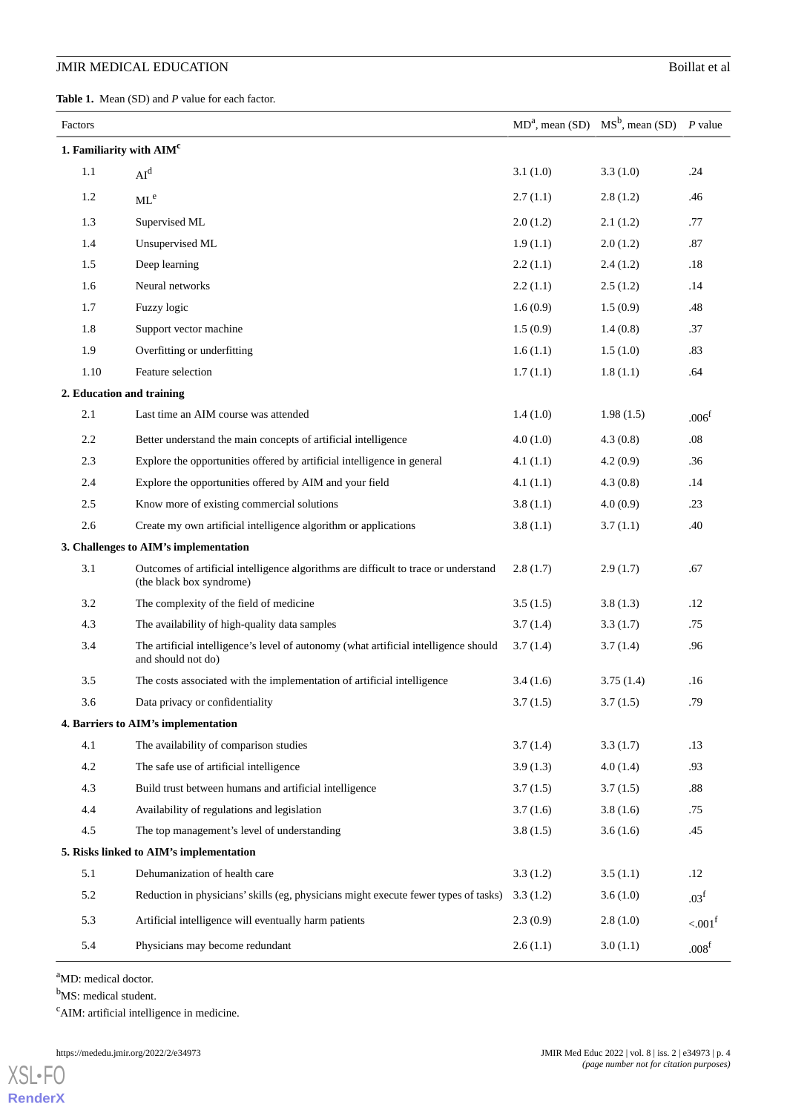<span id="page-3-0"></span>**Table 1.** Mean (SD) and *P* value for each factor.

| Factors                                 |                                                                                                                 | $MDa$ , mean (SD) | $MS^b$ , mean (SD) | $P$ value             |  |  |  |
|-----------------------------------------|-----------------------------------------------------------------------------------------------------------------|-------------------|--------------------|-----------------------|--|--|--|
| 1. Familiarity with AIM <sup>c</sup>    |                                                                                                                 |                   |                    |                       |  |  |  |
| 1.1                                     | AI <sup>d</sup>                                                                                                 | 3.1(1.0)          | 3.3(1.0)           | .24                   |  |  |  |
| 1.2                                     | $ML^e$                                                                                                          | 2.7(1.1)          | 2.8(1.2)           | .46                   |  |  |  |
| 1.3                                     | Supervised ML                                                                                                   | 2.0(1.2)          | 2.1(1.2)           | .77                   |  |  |  |
| 1.4                                     | Unsupervised ML                                                                                                 | 1.9(1.1)          | 2.0(1.2)           | .87                   |  |  |  |
| 1.5                                     | Deep learning                                                                                                   | 2.2(1.1)          | 2.4(1.2)           | .18                   |  |  |  |
| 1.6                                     | Neural networks                                                                                                 | 2.2(1.1)          | 2.5(1.2)           | .14                   |  |  |  |
| 1.7                                     | Fuzzy logic                                                                                                     | 1.6(0.9)          | 1.5(0.9)           | .48                   |  |  |  |
| 1.8                                     | Support vector machine                                                                                          | 1.5(0.9)          | 1.4(0.8)           | .37                   |  |  |  |
| 1.9                                     | Overfitting or underfitting                                                                                     | 1.6(1.1)          | 1.5(1.0)           | .83                   |  |  |  |
| 1.10                                    | Feature selection                                                                                               | 1.7(1.1)          | 1.8(1.1)           | .64                   |  |  |  |
|                                         | 2. Education and training                                                                                       |                   |                    |                       |  |  |  |
| 2.1                                     | Last time an AIM course was attended                                                                            | 1.4(1.0)          | 1.98(1.5)          | .006 <sup>f</sup>     |  |  |  |
| 2.2                                     | Better understand the main concepts of artificial intelligence                                                  | 4.0(1.0)          | 4.3(0.8)           | .08                   |  |  |  |
| 2.3                                     | Explore the opportunities offered by artificial intelligence in general                                         | 4.1(1.1)          | 4.2(0.9)           | .36                   |  |  |  |
| 2.4                                     | Explore the opportunities offered by AIM and your field                                                         | 4.1(1.1)          | 4.3(0.8)           | .14                   |  |  |  |
| 2.5                                     | Know more of existing commercial solutions                                                                      | 3.8(1.1)          | 4.0(0.9)           | .23                   |  |  |  |
| 2.6                                     | Create my own artificial intelligence algorithm or applications                                                 | 3.8(1.1)          | 3.7(1.1)           | .40                   |  |  |  |
|                                         | 3. Challenges to AIM's implementation                                                                           |                   |                    |                       |  |  |  |
| 3.1                                     | Outcomes of artificial intelligence algorithms are difficult to trace or understand<br>(the black box syndrome) | 2.8(1.7)          | 2.9(1.7)           | .67                   |  |  |  |
| 3.2                                     | The complexity of the field of medicine                                                                         | 3.5(1.5)          | 3.8(1.3)           | .12                   |  |  |  |
| 4.3                                     | The availability of high-quality data samples                                                                   | 3.7(1.4)          | 3.3(1.7)           | .75                   |  |  |  |
| 3.4                                     | The artificial intelligence's level of autonomy (what artificial intelligence should<br>and should not do)      | 3.7(1.4)          | 3.7(1.4)           | .96                   |  |  |  |
| 3.5                                     | The costs associated with the implementation of artificial intelligence                                         | 3.4(1.6)          | 3.75(1.4)          | .16                   |  |  |  |
| 3.6                                     | Data privacy or confidentiality                                                                                 | 3.7(1.5)          | 3.7(1.5)           | .79                   |  |  |  |
|                                         | 4. Barriers to AIM's implementation                                                                             |                   |                    |                       |  |  |  |
| 4.1                                     | The availability of comparison studies                                                                          | 3.7(1.4)          | 3.3(1.7)           | .13                   |  |  |  |
| $4.2\,$                                 | The safe use of artificial intelligence                                                                         | 3.9(1.3)          | 4.0(1.4)           | .93                   |  |  |  |
| 4.3                                     | Build trust between humans and artificial intelligence                                                          | 3.7(1.5)          | 3.7(1.5)           | .88                   |  |  |  |
| 4.4                                     | Availability of regulations and legislation                                                                     | 3.7(1.6)          | 3.8(1.6)           | .75                   |  |  |  |
| $4.5\,$                                 | The top management's level of understanding                                                                     | 3.8(1.5)          | 3.6(1.6)           | .45                   |  |  |  |
| 5. Risks linked to AIM's implementation |                                                                                                                 |                   |                    |                       |  |  |  |
| 5.1                                     | Dehumanization of health care                                                                                   | 3.3(1.2)          | 3.5(1.1)           | .12                   |  |  |  |
| 5.2                                     | Reduction in physicians' skills (eg, physicians might execute fewer types of tasks)                             | 3.3(1.2)          | 3.6(1.0)           | .03 <sup>f</sup>      |  |  |  |
| 5.3                                     | Artificial intelligence will eventually harm patients                                                           | 2.3(0.9)          | 2.8(1.0)           | $< .001$ <sup>f</sup> |  |  |  |
| 5.4                                     | Physicians may become redundant                                                                                 | 2.6(1.1)          | 3.0(1.1)           | .008 <sup>f</sup>     |  |  |  |

<sup>a</sup>MD: medical doctor.

[XSL](http://www.w3.org/Style/XSL)•FO **[RenderX](http://www.renderx.com/)**

<sup>b</sup>MS: medical student.

<sup>c</sup>AIM: artificial intelligence in medicine.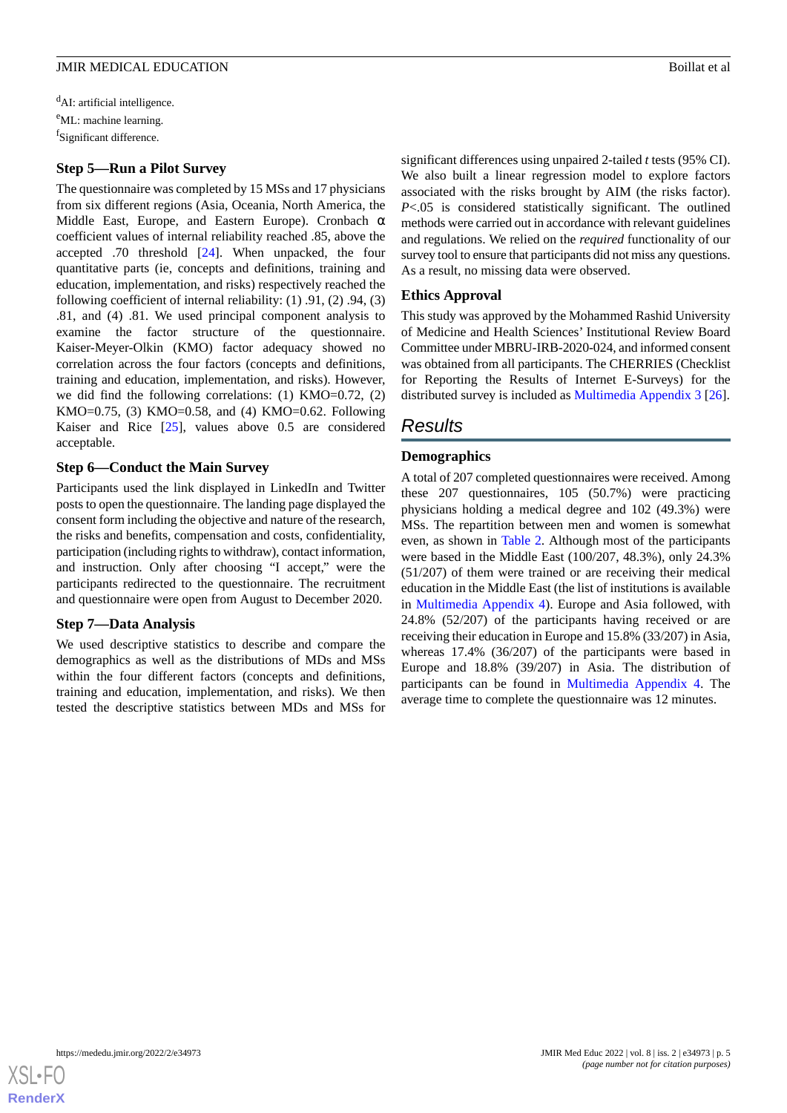<sup>d</sup>AI: artificial intelligence. <sup>e</sup>ML: machine learning. fSignificant difference.

#### **Step 5—Run a Pilot Survey**

The questionnaire was completed by 15 MSs and 17 physicians from six different regions (Asia, Oceania, North America, the Middle East, Europe, and Eastern Europe). Cronbach  $\alpha$ coefficient values of internal reliability reached .85, above the accepted .70 threshold [[24\]](#page-13-8). When unpacked, the four quantitative parts (ie, concepts and definitions, training and education, implementation, and risks) respectively reached the following coefficient of internal reliability: (1) .91, (2) .94, (3) .81, and (4) .81. We used principal component analysis to examine the factor structure of the questionnaire. Kaiser-Meyer-Olkin (KMO) factor adequacy showed no correlation across the four factors (concepts and definitions, training and education, implementation, and risks). However, we did find the following correlations: (1) KMO=0.72, (2) KMO=0.75, (3) KMO=0.58, and (4) KMO=0.62. Following Kaiser and Rice [\[25](#page-13-9)], values above 0.5 are considered acceptable.

#### **Step 6—Conduct the Main Survey**

Participants used the link displayed in LinkedIn and Twitter posts to open the questionnaire. The landing page displayed the consent form including the objective and nature of the research, the risks and benefits, compensation and costs, confidentiality, participation (including rights to withdraw), contact information, and instruction. Only after choosing "I accept," were the participants redirected to the questionnaire. The recruitment and questionnaire were open from August to December 2020.

#### **Step 7—Data Analysis**

We used descriptive statistics to describe and compare the demographics as well as the distributions of MDs and MSs within the four different factors (concepts and definitions, training and education, implementation, and risks). We then tested the descriptive statistics between MDs and MSs for significant differences using unpaired 2-tailed *t* tests (95% CI). We also built a linear regression model to explore factors associated with the risks brought by AIM (the risks factor). *P*<.05 is considered statistically significant. The outlined methods were carried out in accordance with relevant guidelines and regulations. We relied on the *required* functionality of our survey tool to ensure that participants did not miss any questions. As a result, no missing data were observed.

#### **Ethics Approval**

This study was approved by the Mohammed Rashid University of Medicine and Health Sciences' Institutional Review Board Committee under MBRU-IRB-2020-024, and informed consent was obtained from all participants. The CHERRIES (Checklist for Reporting the Results of Internet E-Surveys) for the distributed survey is included as [Multimedia Appendix 3](#page-12-10) [\[26](#page-13-10)].

### *Results*

#### **Demographics**

A total of 207 completed questionnaires were received. Among these 207 questionnaires, 105 (50.7%) were practicing physicians holding a medical degree and 102 (49.3%) were MSs. The repartition between men and women is somewhat even, as shown in [Table 2.](#page-5-0) Although most of the participants were based in the Middle East (100/207, 48.3%), only 24.3% (51/207) of them were trained or are receiving their medical education in the Middle East (the list of institutions is available in [Multimedia Appendix 4\)](#page-12-11). Europe and Asia followed, with 24.8% (52/207) of the participants having received or are receiving their education in Europe and 15.8% (33/207) in Asia, whereas 17.4% (36/207) of the participants were based in Europe and 18.8% (39/207) in Asia. The distribution of participants can be found in [Multimedia Appendix 4.](#page-12-11) The average time to complete the questionnaire was 12 minutes.

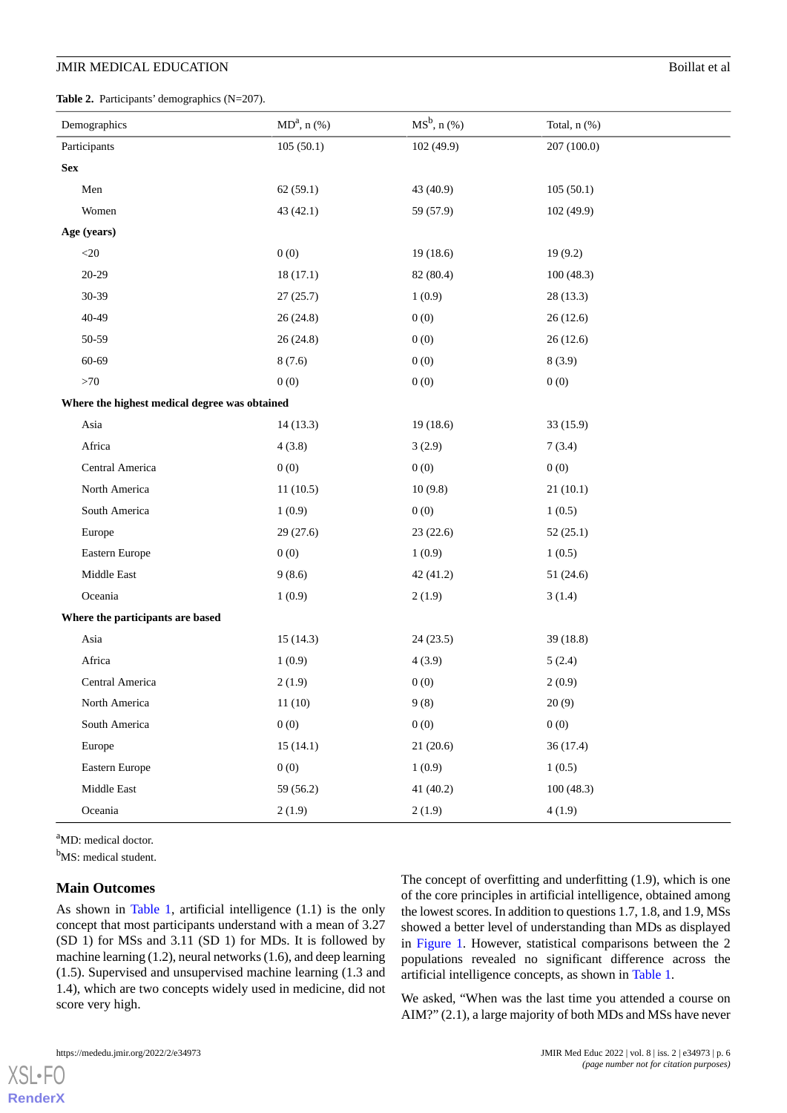<span id="page-5-0"></span>**Table 2.** Participants' demographics (N=207).

| Demographics                                  | $MDa$ , n (%) | $MS^b$ , n $(\%)$ | Total, n (%) |  |  |  |
|-----------------------------------------------|---------------|-------------------|--------------|--|--|--|
| Participants                                  | 105(50.1)     | 102(49.9)         | 207 (100.0)  |  |  |  |
| <b>Sex</b>                                    |               |                   |              |  |  |  |
| Men                                           | 62(59.1)      | 43 (40.9)         | 105(50.1)    |  |  |  |
| Women                                         | 43(42.1)      | 59 (57.9)         | 102 (49.9)   |  |  |  |
| Age (years)                                   |               |                   |              |  |  |  |
| $<$ 20 $\,$                                   | 0(0)          | 19(18.6)          | 19(9.2)      |  |  |  |
| $20 - 29$                                     | 18(17.1)      | 82 (80.4)         | 100(48.3)    |  |  |  |
| 30-39                                         | 27(25.7)      | 1(0.9)            | 28 (13.3)    |  |  |  |
| 40-49                                         | 26(24.8)      | 0(0)              | 26(12.6)     |  |  |  |
| 50-59                                         | 26(24.8)      | 0(0)              | 26(12.6)     |  |  |  |
| 60-69                                         | 8(7.6)        | 0(0)              | 8(3.9)       |  |  |  |
| $>70$                                         | 0(0)          | 0(0)              | 0(0)         |  |  |  |
| Where the highest medical degree was obtained |               |                   |              |  |  |  |
| Asia                                          | 14(13.3)      | 19(18.6)          | 33 (15.9)    |  |  |  |
| Africa                                        | 4(3.8)        | 3(2.9)            | 7(3.4)       |  |  |  |
| Central America                               | 0(0)          | 0(0)              | 0(0)         |  |  |  |
| North America                                 | 11(10.5)      | 10(9.8)           | 21(10.1)     |  |  |  |
| South America                                 | 1(0.9)        | 0(0)              | 1(0.5)       |  |  |  |
| Europe                                        | 29(27.6)      | 23(22.6)          | 52(25.1)     |  |  |  |
| Eastern Europe                                | 0(0)          | 1(0.9)            | 1(0.5)       |  |  |  |
| Middle East                                   | 9(8.6)        | 42(41.2)          | 51(24.6)     |  |  |  |
| Oceania                                       | 1(0.9)        | 2(1.9)            | 3(1.4)       |  |  |  |
| Where the participants are based              |               |                   |              |  |  |  |
| Asia                                          | 15(14.3)      | 24(23.5)          | 39(18.8)     |  |  |  |
| Africa                                        | 1(0.9)        | 4(3.9)            | 5(2.4)       |  |  |  |
| Central America                               | 2(1.9)        | 0(0)              | 2(0.9)       |  |  |  |
| North America                                 | 11(10)        | 9(8)              | 20(9)        |  |  |  |
| South America                                 | 0(0)          | 0(0)              | 0(0)         |  |  |  |
| Europe                                        | 15(14.1)      | 21(20.6)          | 36 (17.4)    |  |  |  |
| Eastern Europe                                | 0(0)          | 1(0.9)            | 1(0.5)       |  |  |  |
| Middle East                                   | 59 (56.2)     | 41 (40.2)         | 100(48.3)    |  |  |  |
| Oceania                                       | 2(1.9)        | 2(1.9)            | 4(1.9)       |  |  |  |

<sup>a</sup>MD: medical doctor.

<sup>b</sup>MS: medical student.

#### **Main Outcomes**

As shown in [Table 1,](#page-3-0) artificial intelligence (1.1) is the only concept that most participants understand with a mean of 3.27 (SD 1) for MSs and 3.11 (SD 1) for MDs. It is followed by machine learning (1.2), neural networks (1.6), and deep learning (1.5). Supervised and unsupervised machine learning (1.3 and 1.4), which are two concepts widely used in medicine, did not score very high.

The concept of overfitting and underfitting (1.9), which is one of the core principles in artificial intelligence, obtained among the lowest scores. In addition to questions 1.7, 1.8, and 1.9, MSs showed a better level of understanding than MDs as displayed in [Figure 1](#page-6-0). However, statistical comparisons between the 2 populations revealed no significant difference across the artificial intelligence concepts, as shown in [Table 1.](#page-3-0)

We asked, "When was the last time you attended a course on AIM?" (2.1), a large majority of both MDs and MSs have never

[XSL](http://www.w3.org/Style/XSL)•FO **[RenderX](http://www.renderx.com/)** **https://mir.org/2022 | vol. 8 | iss. 2 | e34973 | p. 6**  $\frac{1}{2}$ *(page number not for citation purposes)*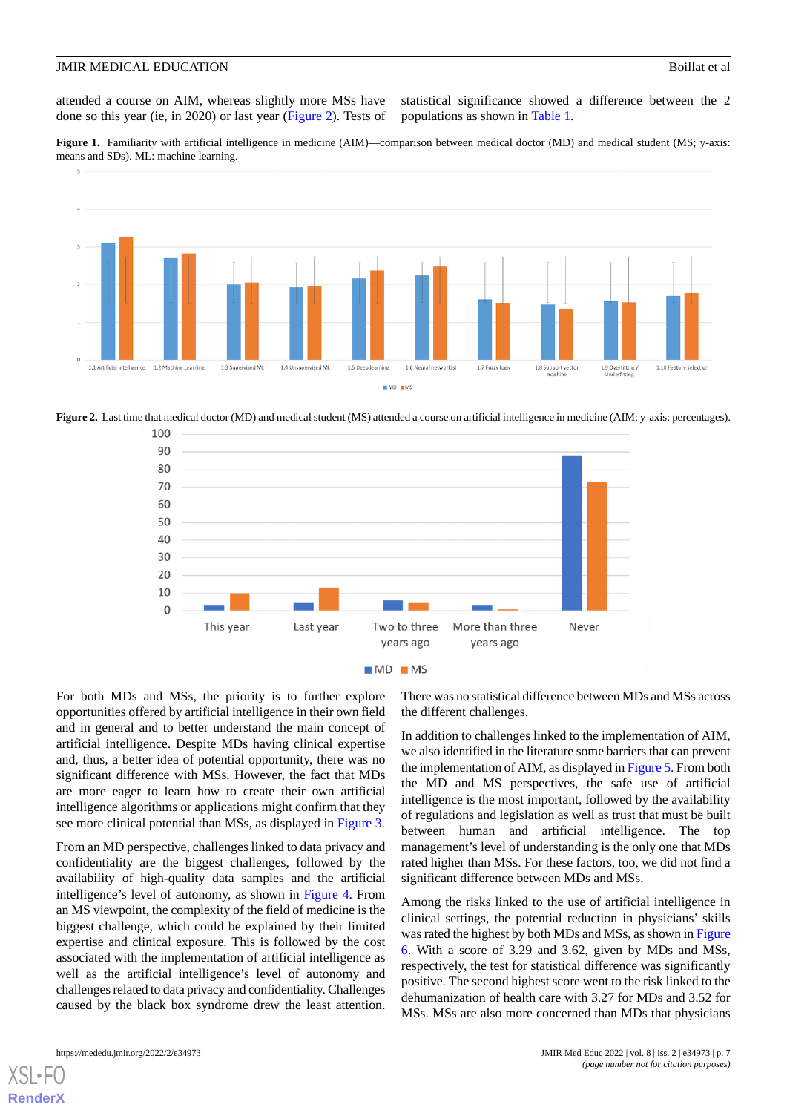attended a course on AIM, whereas slightly more MSs have done so this year (ie, in 2020) or last year ([Figure 2](#page-6-1)). Tests of

statistical significance showed a difference between the 2 populations as shown in [Table 1.](#page-3-0)

<span id="page-6-0"></span>Figure 1. Familiarity with artificial intelligence in medicine (AIM)—comparison between medical doctor (MD) and medical student (MS; y-axis: means and SDs). ML: machine learning.



<span id="page-6-1"></span>Figure 2. Last time that medical doctor (MD) and medical student (MS) attended a course on artificial intelligence in medicine (AIM; y-axis: percentages).



For both MDs and MSs, the priority is to further explore opportunities offered by artificial intelligence in their own field and in general and to better understand the main concept of artificial intelligence. Despite MDs having clinical expertise and, thus, a better idea of potential opportunity, there was no significant difference with MSs. However, the fact that MDs are more eager to learn how to create their own artificial intelligence algorithms or applications might confirm that they see more clinical potential than MSs, as displayed in [Figure 3.](#page-7-0)

From an MD perspective, challenges linked to data privacy and confidentiality are the biggest challenges, followed by the availability of high-quality data samples and the artificial intelligence's level of autonomy, as shown in [Figure 4](#page-7-1). From an MS viewpoint, the complexity of the field of medicine is the biggest challenge, which could be explained by their limited expertise and clinical exposure. This is followed by the cost associated with the implementation of artificial intelligence as well as the artificial intelligence's level of autonomy and challenges related to data privacy and confidentiality. Challenges caused by the black box syndrome drew the least attention.

[XSL](http://www.w3.org/Style/XSL)•FO **[RenderX](http://www.renderx.com/)**

There was no statistical difference between MDs and MSs across the different challenges.

In addition to challenges linked to the implementation of AIM, we also identified in the literature some barriers that can prevent the implementation of AIM, as displayed in [Figure 5](#page-8-0). From both the MD and MS perspectives, the safe use of artificial intelligence is the most important, followed by the availability of regulations and legislation as well as trust that must be built between human and artificial intelligence. The top management's level of understanding is the only one that MDs rated higher than MSs. For these factors, too, we did not find a significant difference between MDs and MSs.

Among the risks linked to the use of artificial intelligence in clinical settings, the potential reduction in physicians' skills was rated the highest by both MDs and MSs, as shown in [Figure](#page-8-1) [6.](#page-8-1) With a score of 3.29 and 3.62, given by MDs and MSs, respectively, the test for statistical difference was significantly positive. The second highest score went to the risk linked to the dehumanization of health care with 3.27 for MDs and 3.52 for MSs. MSs are also more concerned than MDs that physicians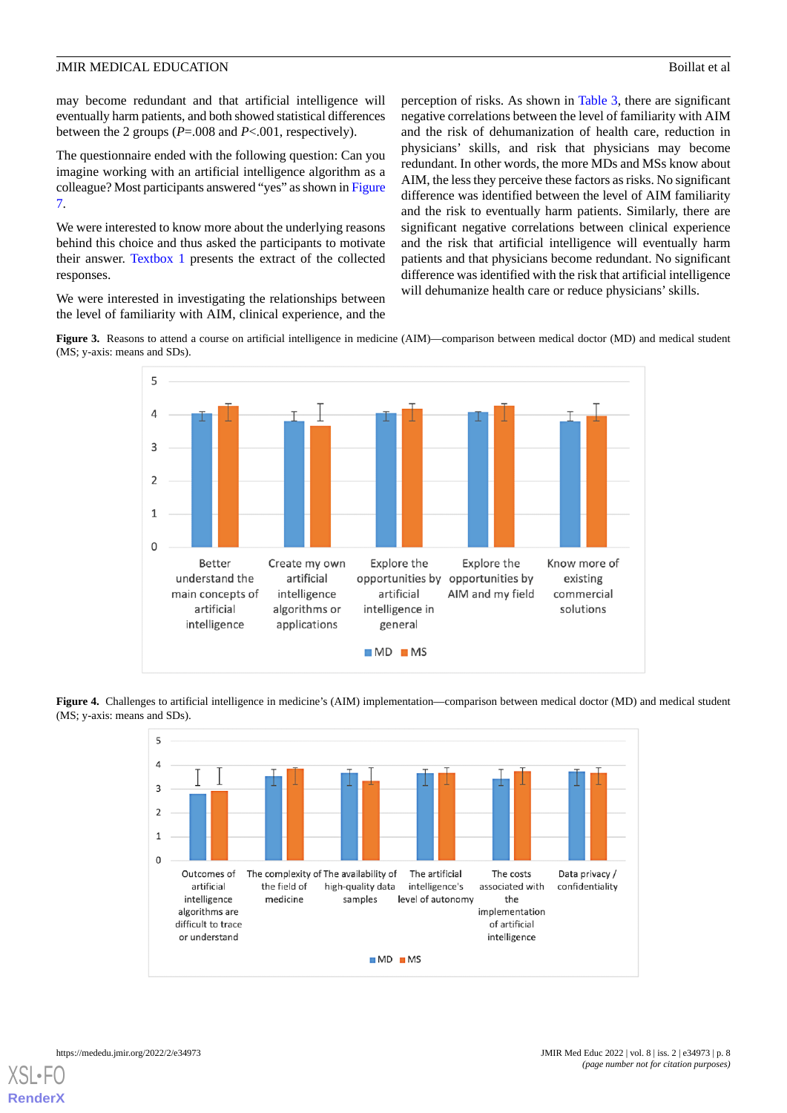may become redundant and that artificial intelligence will eventually harm patients, and both showed statistical differences between the 2 groups (*P*=.008 and *P*<.001, respectively).

The questionnaire ended with the following question: Can you imagine working with an artificial intelligence algorithm as a colleague? Most participants answered "yes" as shown in [Figure](#page-9-0) [7.](#page-9-0)

We were interested to know more about the underlying reasons behind this choice and thus asked the participants to motivate their answer. [Textbox 1](#page-9-1) presents the extract of the collected responses.

<span id="page-7-0"></span>We were interested in investigating the relationships between the level of familiarity with AIM, clinical experience, and the

perception of risks. As shown in [Table 3](#page-10-0), there are significant negative correlations between the level of familiarity with AIM and the risk of dehumanization of health care, reduction in physicians' skills, and risk that physicians may become redundant. In other words, the more MDs and MSs know about AIM, the less they perceive these factors as risks. No significant difference was identified between the level of AIM familiarity and the risk to eventually harm patients. Similarly, there are significant negative correlations between clinical experience and the risk that artificial intelligence will eventually harm patients and that physicians become redundant. No significant difference was identified with the risk that artificial intelligence will dehumanize health care or reduce physicians'skills.

**Figure 3.** Reasons to attend a course on artificial intelligence in medicine (AIM)—comparison between medical doctor (MD) and medical student (MS; y-axis: means and SDs).



<span id="page-7-1"></span>**Figure 4.** Challenges to artificial intelligence in medicine's (AIM) implementation—comparison between medical doctor (MD) and medical student (MS; y-axis: means and SDs).



[XSL](http://www.w3.org/Style/XSL)•FO **[RenderX](http://www.renderx.com/)**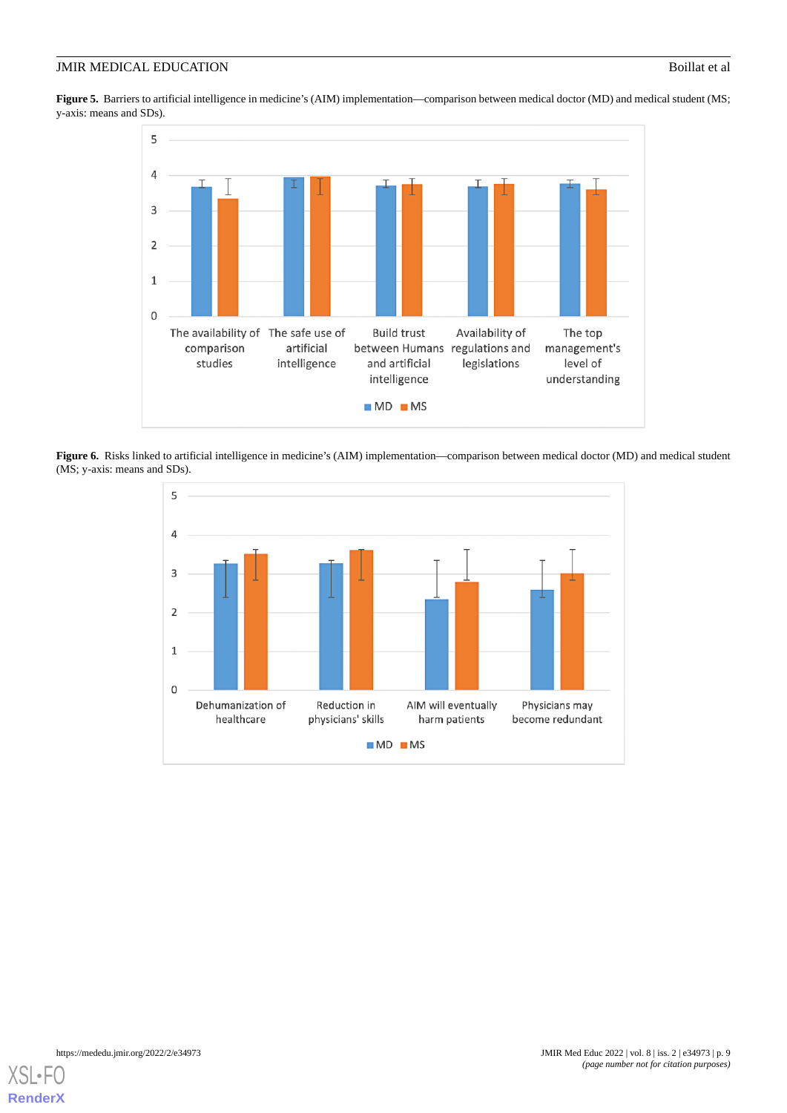<span id="page-8-0"></span>**Figure 5.** Barriers to artificial intelligence in medicine's (AIM) implementation—comparison between medical doctor (MD) and medical student (MS; y-axis: means and SDs).



<span id="page-8-1"></span>Figure 6. Risks linked to artificial intelligence in medicine's (AIM) implementation—comparison between medical doctor (MD) and medical student (MS; y-axis: means and SDs).



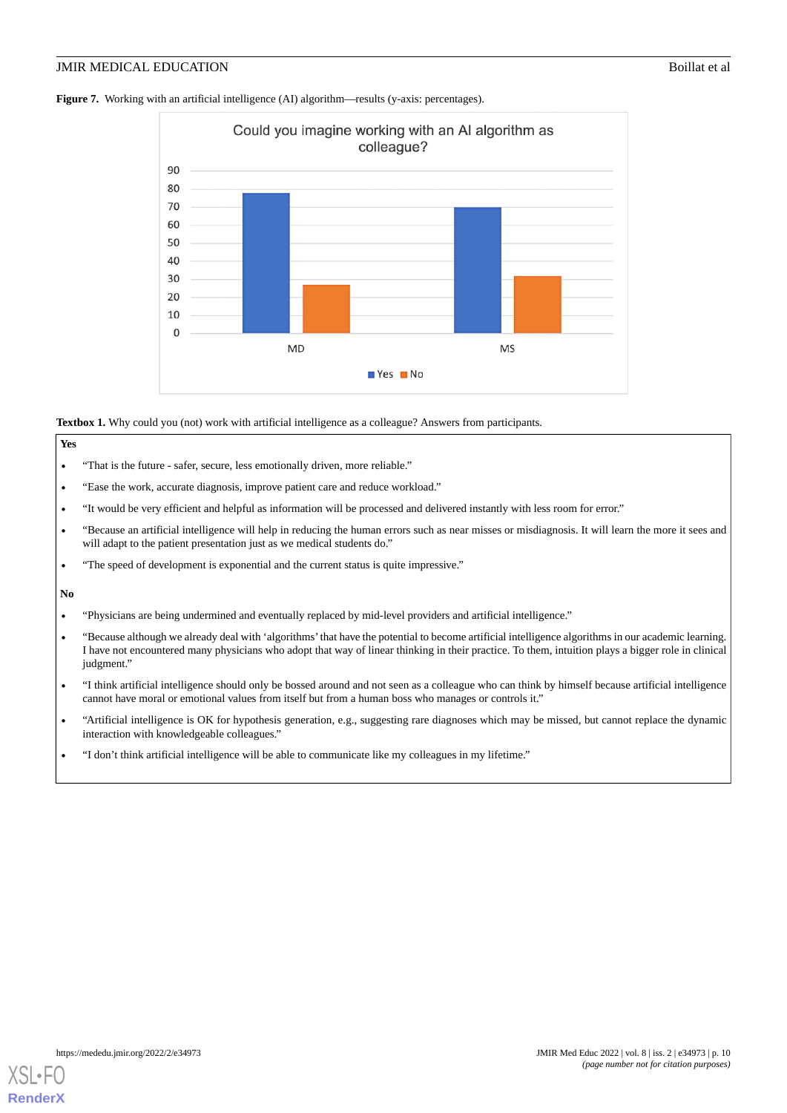#### <span id="page-9-0"></span>Figure 7. Working with an artificial intelligence (AI) algorithm—results (y-axis: percentages).



<span id="page-9-1"></span>**Textbox 1.** Why could you (not) work with artificial intelligence as a colleague? Answers from participants.

#### **Yes**

- "That is the future safer, secure, less emotionally driven, more reliable."
- "Ease the work, accurate diagnosis, improve patient care and reduce workload."
- "It would be very efficient and helpful as information will be processed and delivered instantly with less room for error."
- "Because an artificial intelligence will help in reducing the human errors such as near misses or misdiagnosis. It will learn the more it sees and will adapt to the patient presentation just as we medical students do."
- "The speed of development is exponential and the current status is quite impressive."

**No**

- "Physicians are being undermined and eventually replaced by mid-level providers and artificial intelligence."
- "Because although we already deal with 'algorithms'that have the potential to become artificial intelligence algorithms in our academic learning. I have not encountered many physicians who adopt that way of linear thinking in their practice. To them, intuition plays a bigger role in clinical judgment."
- "I think artificial intelligence should only be bossed around and not seen as a colleague who can think by himself because artificial intelligence cannot have moral or emotional values from itself but from a human boss who manages or controls it."
- "Artificial intelligence is OK for hypothesis generation, e.g., suggesting rare diagnoses which may be missed, but cannot replace the dynamic interaction with knowledgeable colleagues.'
- "I don't think artificial intelligence will be able to communicate like my colleagues in my lifetime."

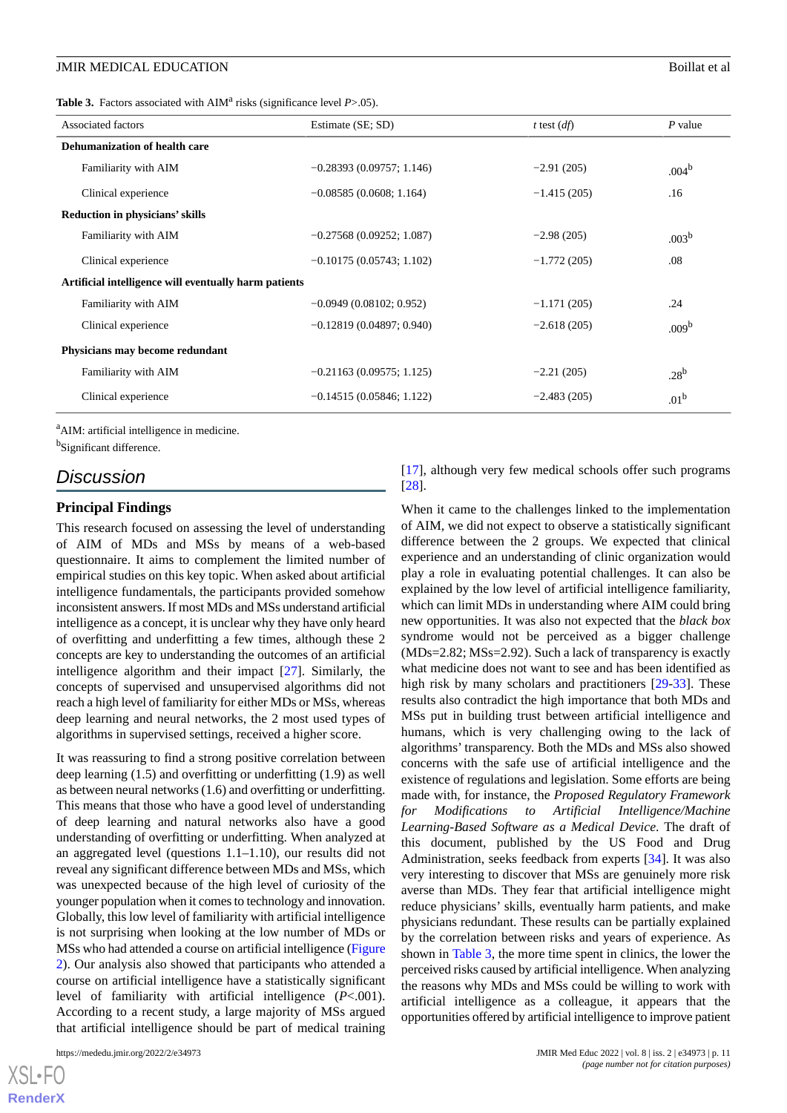<span id="page-10-0"></span>

| <b>Table 3.</b> Factors associated with $\text{AIM}^a$ risks (significance level <i>P</i> >.05). |  |
|--------------------------------------------------------------------------------------------------|--|
|--------------------------------------------------------------------------------------------------|--|

| <b>Associated factors</b>                             | Estimate (SE; SD)          | t test $(df)$ | $P$ value         |  |  |
|-------------------------------------------------------|----------------------------|---------------|-------------------|--|--|
| <b>Dehumanization of health care</b>                  |                            |               |                   |  |  |
| Familiarity with AIM                                  | $-0.28393(0.09757; 1.146)$ | $-2.91(205)$  | .004 <sup>b</sup> |  |  |
| Clinical experience                                   | $-0.08585(0.0608; 1.164)$  | $-1.415(205)$ | .16               |  |  |
| Reduction in physicians' skills                       |                            |               |                   |  |  |
| Familiarity with AIM                                  | $-0.27568(0.09252; 1.087)$ | $-2.98(205)$  | .003 <sup>b</sup> |  |  |
| Clinical experience                                   | $-0.10175(0.05743; 1.102)$ | $-1.772(205)$ | .08               |  |  |
| Artificial intelligence will eventually harm patients |                            |               |                   |  |  |
| Familiarity with AIM                                  | $-0.0949(0.08102; 0.952)$  | $-1.171(205)$ | .24               |  |  |
| Clinical experience                                   | $-0.12819(0.04897; 0.940)$ | $-2.618(205)$ | .009 <sup>b</sup> |  |  |
| Physicians may become redundant                       |                            |               |                   |  |  |
| Familiarity with AIM                                  | $-0.21163(0.09575; 1.125)$ | $-2.21(205)$  | .28 <sup>b</sup>  |  |  |
| Clinical experience                                   | $-0.14515(0.05846; 1.122)$ | $-2.483(205)$ | .01 <sup>b</sup>  |  |  |

<sup>a</sup>AIM: artificial intelligence in medicine.

<sup>b</sup>Significant difference.

## *Discussion*

#### **Principal Findings**

This research focused on assessing the level of understanding of AIM of MDs and MSs by means of a web-based questionnaire. It aims to complement the limited number of empirical studies on this key topic. When asked about artificial intelligence fundamentals, the participants provided somehow inconsistent answers. If most MDs and MSs understand artificial intelligence as a concept, it is unclear why they have only heard of overfitting and underfitting a few times, although these 2 concepts are key to understanding the outcomes of an artificial intelligence algorithm and their impact [\[27](#page-13-11)]. Similarly, the concepts of supervised and unsupervised algorithms did not reach a high level of familiarity for either MDs or MSs, whereas deep learning and neural networks, the 2 most used types of algorithms in supervised settings, received a higher score.

It was reassuring to find a strong positive correlation between deep learning (1.5) and overfitting or underfitting (1.9) as well as between neural networks (1.6) and overfitting or underfitting. This means that those who have a good level of understanding of deep learning and natural networks also have a good understanding of overfitting or underfitting. When analyzed at an aggregated level (questions 1.1–1.10), our results did not reveal any significant difference between MDs and MSs, which was unexpected because of the high level of curiosity of the younger population when it comes to technology and innovation. Globally, this low level of familiarity with artificial intelligence is not surprising when looking at the low number of MDs or MSs who had attended a course on artificial intelligence ([Figure](#page-6-1) [2\)](#page-6-1). Our analysis also showed that participants who attended a course on artificial intelligence have a statistically significant level of familiarity with artificial intelligence (*P*<.001). According to a recent study, a large majority of MSs argued that artificial intelligence should be part of medical training

 $XS$  • FC **[RenderX](http://www.renderx.com/)**

[[17\]](#page-13-12), although very few medical schools offer such programs [[28\]](#page-13-13).

When it came to the challenges linked to the implementation of AIM, we did not expect to observe a statistically significant difference between the 2 groups. We expected that clinical experience and an understanding of clinic organization would play a role in evaluating potential challenges. It can also be explained by the low level of artificial intelligence familiarity, which can limit MDs in understanding where AIM could bring new opportunities. It was also not expected that the *black box* syndrome would not be perceived as a bigger challenge (MDs=2.82; MSs=2.92). Such a lack of transparency is exactly what medicine does not want to see and has been identified as high risk by many scholars and practitioners [[29](#page-13-14)[-33](#page-13-15)]. These results also contradict the high importance that both MDs and MSs put in building trust between artificial intelligence and humans, which is very challenging owing to the lack of algorithms' transparency. Both the MDs and MSs also showed concerns with the safe use of artificial intelligence and the existence of regulations and legislation. Some efforts are being made with, for instance, the *Proposed Regulatory Framework for Modifications to Artificial Intelligence/Machine Learning-Based Software as a Medical Device*. The draft of this document, published by the US Food and Drug Administration, seeks feedback from experts [\[34](#page-13-16)]. It was also very interesting to discover that MSs are genuinely more risk averse than MDs. They fear that artificial intelligence might reduce physicians' skills, eventually harm patients, and make physicians redundant. These results can be partially explained by the correlation between risks and years of experience. As shown in [Table 3,](#page-10-0) the more time spent in clinics, the lower the perceived risks caused by artificial intelligence. When analyzing the reasons why MDs and MSs could be willing to work with artificial intelligence as a colleague, it appears that the opportunities offered by artificial intelligence to improve patient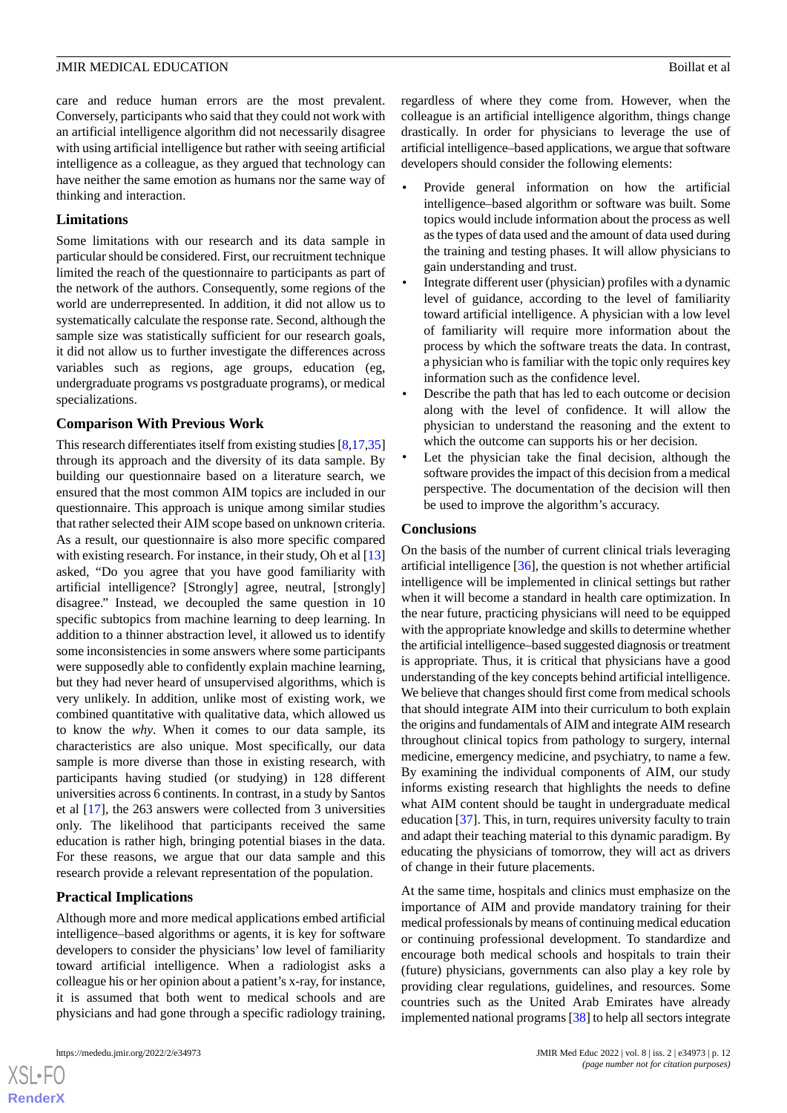care and reduce human errors are the most prevalent. Conversely, participants who said that they could not work with an artificial intelligence algorithm did not necessarily disagree with using artificial intelligence but rather with seeing artificial intelligence as a colleague, as they argued that technology can have neither the same emotion as humans nor the same way of thinking and interaction.

#### **Limitations**

Some limitations with our research and its data sample in particular should be considered. First, our recruitment technique limited the reach of the questionnaire to participants as part of the network of the authors. Consequently, some regions of the world are underrepresented. In addition, it did not allow us to systematically calculate the response rate. Second, although the sample size was statistically sufficient for our research goals, it did not allow us to further investigate the differences across variables such as regions, age groups, education (eg, undergraduate programs vs postgraduate programs), or medical specializations.

#### **Comparison With Previous Work**

This research differentiates itself from existing studies [[8,](#page-12-12)[17](#page-13-12)[,35](#page-13-17)] through its approach and the diversity of its data sample. By building our questionnaire based on a literature search, we ensured that the most common AIM topics are included in our questionnaire. This approach is unique among similar studies that rather selected their AIM scope based on unknown criteria. As a result, our questionnaire is also more specific compared with existing research. For instance, in their study, Oh et al [\[13](#page-13-2)] asked, "Do you agree that you have good familiarity with artificial intelligence? [Strongly] agree, neutral, [strongly] disagree." Instead, we decoupled the same question in 10 specific subtopics from machine learning to deep learning. In addition to a thinner abstraction level, it allowed us to identify some inconsistencies in some answers where some participants were supposedly able to confidently explain machine learning, but they had never heard of unsupervised algorithms, which is very unlikely. In addition, unlike most of existing work, we combined quantitative with qualitative data, which allowed us to know the *why*. When it comes to our data sample, its characteristics are also unique. Most specifically, our data sample is more diverse than those in existing research, with participants having studied (or studying) in 128 different universities across 6 continents. In contrast, in a study by Santos et al [\[17](#page-13-12)], the 263 answers were collected from 3 universities only. The likelihood that participants received the same education is rather high, bringing potential biases in the data. For these reasons, we argue that our data sample and this research provide a relevant representation of the population.

#### **Practical Implications**

Although more and more medical applications embed artificial intelligence–based algorithms or agents, it is key for software developers to consider the physicians' low level of familiarity toward artificial intelligence. When a radiologist asks a colleague his or her opinion about a patient's x-ray, for instance, it is assumed that both went to medical schools and are physicians and had gone through a specific radiology training,

 $XS$  $\cdot$ FC **[RenderX](http://www.renderx.com/)** regardless of where they come from. However, when the colleague is an artificial intelligence algorithm, things change drastically. In order for physicians to leverage the use of artificial intelligence–based applications, we argue that software developers should consider the following elements:

- Provide general information on how the artificial intelligence–based algorithm or software was built. Some topics would include information about the process as well as the types of data used and the amount of data used during the training and testing phases. It will allow physicians to gain understanding and trust.
- Integrate different user (physician) profiles with a dynamic level of guidance, according to the level of familiarity toward artificial intelligence. A physician with a low level of familiarity will require more information about the process by which the software treats the data. In contrast, a physician who is familiar with the topic only requires key information such as the confidence level.
- Describe the path that has led to each outcome or decision along with the level of confidence. It will allow the physician to understand the reasoning and the extent to which the outcome can supports his or her decision.
- Let the physician take the final decision, although the software provides the impact of this decision from a medical perspective. The documentation of the decision will then be used to improve the algorithm's accuracy.

#### **Conclusions**

On the basis of the number of current clinical trials leveraging artificial intelligence  $[36]$  $[36]$ , the question is not whether artificial intelligence will be implemented in clinical settings but rather when it will become a standard in health care optimization. In the near future, practicing physicians will need to be equipped with the appropriate knowledge and skills to determine whether the artificial intelligence–based suggested diagnosis or treatment is appropriate. Thus, it is critical that physicians have a good understanding of the key concepts behind artificial intelligence. We believe that changes should first come from medical schools that should integrate AIM into their curriculum to both explain the origins and fundamentals of AIM and integrate AIM research throughout clinical topics from pathology to surgery, internal medicine, emergency medicine, and psychiatry, to name a few. By examining the individual components of AIM, our study informs existing research that highlights the needs to define what AIM content should be taught in undergraduate medical education [[37\]](#page-13-19). This, in turn, requires university faculty to train and adapt their teaching material to this dynamic paradigm. By educating the physicians of tomorrow, they will act as drivers of change in their future placements.

At the same time, hospitals and clinics must emphasize on the importance of AIM and provide mandatory training for their medical professionals by means of continuing medical education or continuing professional development. To standardize and encourage both medical schools and hospitals to train their (future) physicians, governments can also play a key role by providing clear regulations, guidelines, and resources. Some countries such as the United Arab Emirates have already implemented national programs [[38](#page-14-0)] to help all sectors integrate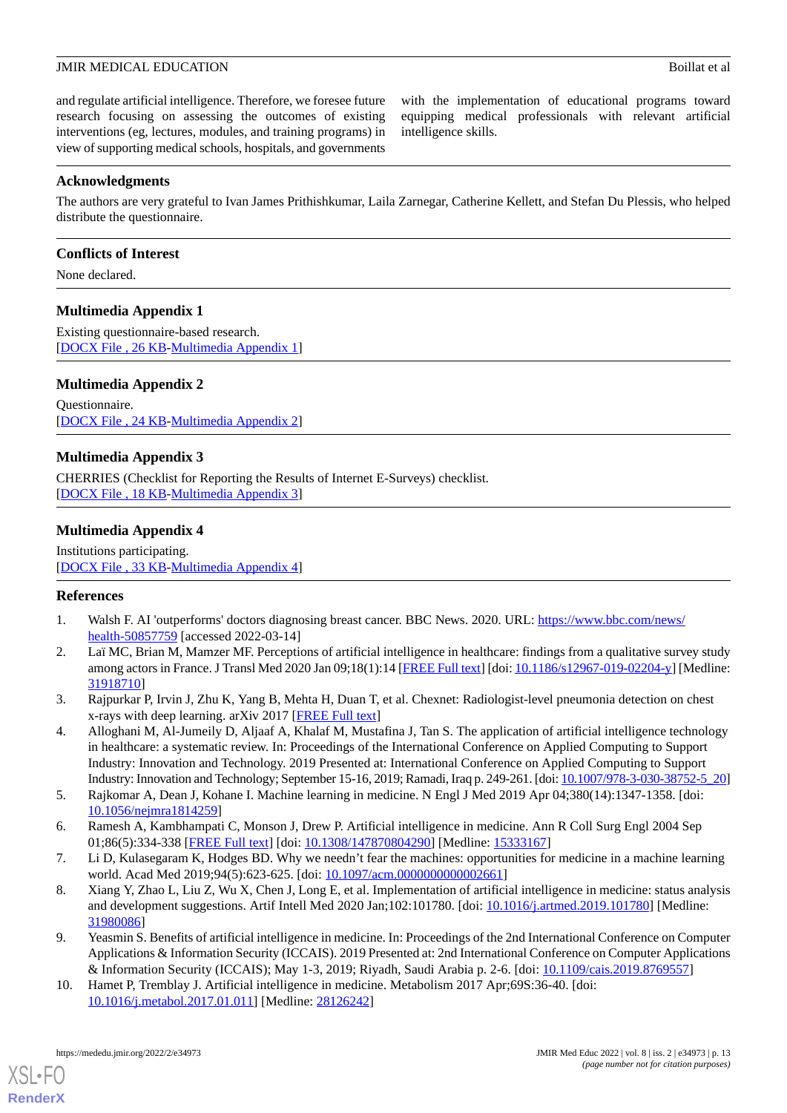and regulate artificial intelligence. Therefore, we foresee future research focusing on assessing the outcomes of existing interventions (eg, lectures, modules, and training programs) in view of supporting medical schools, hospitals, and governments

with the implementation of educational programs toward equipping medical professionals with relevant artificial intelligence skills.

#### **Acknowledgments**

The authors are very grateful to Ivan James Prithishkumar, Laila Zarnegar, Catherine Kellett, and Stefan Du Plessis, who helped distribute the questionnaire.

#### **Conflicts of Interest**

<span id="page-12-8"></span>None declared.

#### **Multimedia Appendix 1**

<span id="page-12-9"></span>Existing questionnaire-based research. [[DOCX File , 26 KB](https://jmir.org/api/download?alt_name=mededu_v8i2e34973_app1.docx&filename=9ea50785d65c16b20669a3d8a73efdf3.docx)-[Multimedia Appendix 1\]](https://jmir.org/api/download?alt_name=mededu_v8i2e34973_app1.docx&filename=9ea50785d65c16b20669a3d8a73efdf3.docx)

#### **Multimedia Appendix 2**

<span id="page-12-10"></span>Questionnaire. [[DOCX File , 24 KB](https://jmir.org/api/download?alt_name=mededu_v8i2e34973_app2.docx&filename=56b1c238ce7e03378f149de2fc5e5562.docx)-[Multimedia Appendix 2\]](https://jmir.org/api/download?alt_name=mededu_v8i2e34973_app2.docx&filename=56b1c238ce7e03378f149de2fc5e5562.docx)

#### **Multimedia Appendix 3**

<span id="page-12-11"></span>CHERRIES (Checklist for Reporting the Results of Internet E-Surveys) checklist. [[DOCX File , 18 KB](https://jmir.org/api/download?alt_name=mededu_v8i2e34973_app3.docx&filename=f39011725abd812595a72876ba188d45.docx)-[Multimedia Appendix 3\]](https://jmir.org/api/download?alt_name=mededu_v8i2e34973_app3.docx&filename=f39011725abd812595a72876ba188d45.docx)

#### **Multimedia Appendix 4**

<span id="page-12-0"></span>Institutions participating. [[DOCX File , 33 KB](https://jmir.org/api/download?alt_name=mededu_v8i2e34973_app4.docx&filename=72bd7de275956ede1e837782f050cc57.docx)-[Multimedia Appendix 4\]](https://jmir.org/api/download?alt_name=mededu_v8i2e34973_app4.docx&filename=72bd7de275956ede1e837782f050cc57.docx)

#### <span id="page-12-1"></span>**References**

- <span id="page-12-2"></span>1. Walsh F. AI 'outperforms' doctors diagnosing breast cancer. BBC News. 2020. URL: [https://www.bbc.com/news/](https://www.bbc.com/news/health-50857759) [health-50857759](https://www.bbc.com/news/health-50857759) [accessed 2022-03-14]
- <span id="page-12-3"></span>2. Laï MC, Brian M, Mamzer MF. Perceptions of artificial intelligence in healthcare: findings from a qualitative survey study among actors in France. J Transl Med 2020 Jan 09;18(1):14 [[FREE Full text\]](https://translational-medicine.biomedcentral.com/articles/10.1186/s12967-019-02204-y) [doi: [10.1186/s12967-019-02204-y](http://dx.doi.org/10.1186/s12967-019-02204-y)] [Medline: [31918710](http://www.ncbi.nlm.nih.gov/entrez/query.fcgi?cmd=Retrieve&db=PubMed&list_uids=31918710&dopt=Abstract)]
- 3. Rajpurkar P, Irvin J, Zhu K, Yang B, Mehta H, Duan T, et al. Chexnet: Radiologist-level pneumonia detection on chest x-rays with deep learning. arXiv 2017 [\[FREE Full text\]](https://arxiv.org/abs/1711.05225)
- <span id="page-12-4"></span>4. Alloghani M, Al-Jumeily D, Aljaaf A, Khalaf M, Mustafina J, Tan S. The application of artificial intelligence technology in healthcare: a systematic review. In: Proceedings of the International Conference on Applied Computing to Support Industry: Innovation and Technology. 2019 Presented at: International Conference on Applied Computing to Support Industry: Innovation and Technology; September 15-16, 2019; Ramadi, Iraq p. 249-261. [doi: [10.1007/978-3-030-38752-5\\_20\]](http://dx.doi.org/10.1007/978-3-030-38752-5_20)
- <span id="page-12-12"></span><span id="page-12-5"></span>5. Rajkomar A, Dean J, Kohane I. Machine learning in medicine. N Engl J Med 2019 Apr 04;380(14):1347-1358. [doi: [10.1056/nejmra1814259\]](http://dx.doi.org/10.1056/nejmra1814259)
- 6. Ramesh A, Kambhampati C, Monson J, Drew P. Artificial intelligence in medicine. Ann R Coll Surg Engl 2004 Sep 01;86(5):334-338 [[FREE Full text](http://europepmc.org/abstract/MED/15333167)] [doi: [10.1308/147870804290\]](http://dx.doi.org/10.1308/147870804290) [Medline: [15333167\]](http://www.ncbi.nlm.nih.gov/entrez/query.fcgi?cmd=Retrieve&db=PubMed&list_uids=15333167&dopt=Abstract)
- <span id="page-12-6"></span>7. Li D, Kulasegaram K, Hodges BD. Why we needn't fear the machines: opportunities for medicine in a machine learning world. Acad Med 2019;94(5):623-625. [doi: [10.1097/acm.0000000000002661\]](http://dx.doi.org/10.1097/acm.0000000000002661)
- <span id="page-12-7"></span>8. Xiang Y, Zhao L, Liu Z, Wu X, Chen J, Long E, et al. Implementation of artificial intelligence in medicine: status analysis and development suggestions. Artif Intell Med 2020 Jan;102:101780. [doi: [10.1016/j.artmed.2019.101780](http://dx.doi.org/10.1016/j.artmed.2019.101780)] [Medline: [31980086](http://www.ncbi.nlm.nih.gov/entrez/query.fcgi?cmd=Retrieve&db=PubMed&list_uids=31980086&dopt=Abstract)]
- 9. Yeasmin S. Benefits of artificial intelligence in medicine. In: Proceedings of the 2nd International Conference on Computer Applications & Information Security (ICCAIS). 2019 Presented at: 2nd International Conference on Computer Applications & Information Security (ICCAIS); May 1-3, 2019; Riyadh, Saudi Arabia p. 2-6. [doi: [10.1109/cais.2019.8769557\]](http://dx.doi.org/10.1109/cais.2019.8769557)
- 10. Hamet P, Tremblay J. Artificial intelligence in medicine. Metabolism 2017 Apr;69S:36-40. [doi: [10.1016/j.metabol.2017.01.011\]](http://dx.doi.org/10.1016/j.metabol.2017.01.011) [Medline: [28126242\]](http://www.ncbi.nlm.nih.gov/entrez/query.fcgi?cmd=Retrieve&db=PubMed&list_uids=28126242&dopt=Abstract)

[XSL](http://www.w3.org/Style/XSL)•FO **[RenderX](http://www.renderx.com/)**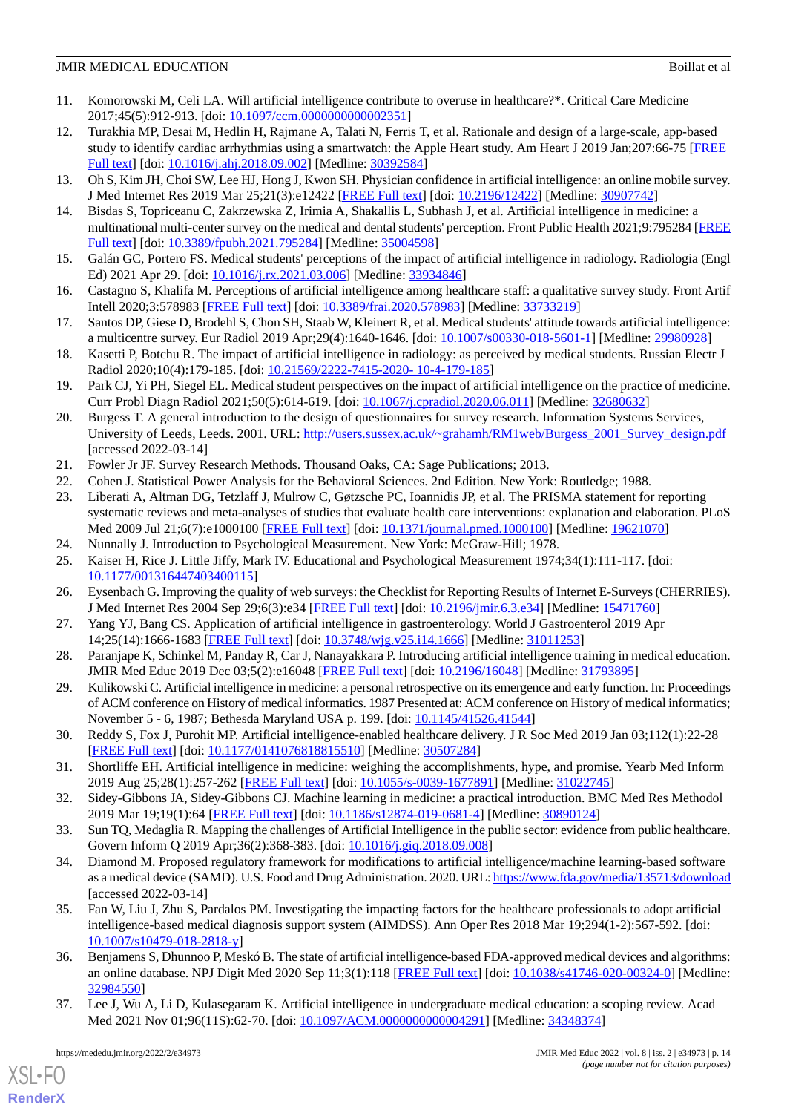- <span id="page-13-0"></span>11. Komorowski M, Celi LA. Will artificial intelligence contribute to overuse in healthcare?\*. Critical Care Medicine 2017;45(5):912-913. [doi: [10.1097/ccm.0000000000002351\]](http://dx.doi.org/10.1097/ccm.0000000000002351)
- <span id="page-13-1"></span>12. Turakhia MP, Desai M, Hedlin H, Rajmane A, Talati N, Ferris T, et al. Rationale and design of a large-scale, app-based study to identify cardiac arrhythmias using a smartwatch: the Apple Heart study. Am Heart J 2019 Jan;207:66-75 [\[FREE](https://linkinghub.elsevier.com/retrieve/pii/S0002-8703(18)30271-0) [Full text\]](https://linkinghub.elsevier.com/retrieve/pii/S0002-8703(18)30271-0) [doi: [10.1016/j.ahj.2018.09.002](http://dx.doi.org/10.1016/j.ahj.2018.09.002)] [Medline: [30392584](http://www.ncbi.nlm.nih.gov/entrez/query.fcgi?cmd=Retrieve&db=PubMed&list_uids=30392584&dopt=Abstract)]
- <span id="page-13-2"></span>13. Oh S, Kim JH, Choi SW, Lee HJ, Hong J, Kwon SH. Physician confidence in artificial intelligence: an online mobile survey. J Med Internet Res 2019 Mar 25;21(3):e12422 [[FREE Full text](https://www.jmir.org/2019/3/e12422/)] [doi: [10.2196/12422\]](http://dx.doi.org/10.2196/12422) [Medline: [30907742\]](http://www.ncbi.nlm.nih.gov/entrez/query.fcgi?cmd=Retrieve&db=PubMed&list_uids=30907742&dopt=Abstract)
- 14. Bisdas S, Topriceanu C, Zakrzewska Z, Irimia A, Shakallis L, Subhash J, et al. Artificial intelligence in medicine: a multinational multi-center survey on the medical and dental students' perception. Front Public Health 2021;9:795284 [[FREE](https://doi.org/10.3389/fpubh.2021.795284) [Full text\]](https://doi.org/10.3389/fpubh.2021.795284) [doi: [10.3389/fpubh.2021.795284\]](http://dx.doi.org/10.3389/fpubh.2021.795284) [Medline: [35004598\]](http://www.ncbi.nlm.nih.gov/entrez/query.fcgi?cmd=Retrieve&db=PubMed&list_uids=35004598&dopt=Abstract)
- 15. Galán GC, Portero FS. Medical students' perceptions of the impact of artificial intelligence in radiology. Radiologia (Engl Ed) 2021 Apr 29. [doi: [10.1016/j.rx.2021.03.006\]](http://dx.doi.org/10.1016/j.rx.2021.03.006) [Medline: [33934846\]](http://www.ncbi.nlm.nih.gov/entrez/query.fcgi?cmd=Retrieve&db=PubMed&list_uids=33934846&dopt=Abstract)
- <span id="page-13-12"></span>16. Castagno S, Khalifa M. Perceptions of artificial intelligence among healthcare staff: a qualitative survey study. Front Artif Intell 2020;3:578983 [\[FREE Full text\]](https://doi.org/10.3389/frai.2020.578983) [doi: [10.3389/frai.2020.578983](http://dx.doi.org/10.3389/frai.2020.578983)] [Medline: [33733219](http://www.ncbi.nlm.nih.gov/entrez/query.fcgi?cmd=Retrieve&db=PubMed&list_uids=33733219&dopt=Abstract)]
- 17. Santos DP, Giese D, Brodehl S, Chon SH, Staab W, Kleinert R, et al. Medical students' attitude towards artificial intelligence: a multicentre survey. Eur Radiol 2019 Apr;29(4):1640-1646. [doi: [10.1007/s00330-018-5601-1\]](http://dx.doi.org/10.1007/s00330-018-5601-1) [Medline: [29980928](http://www.ncbi.nlm.nih.gov/entrez/query.fcgi?cmd=Retrieve&db=PubMed&list_uids=29980928&dopt=Abstract)]
- <span id="page-13-3"></span>18. Kasetti P, Botchu R. The impact of artificial intelligence in radiology: as perceived by medical students. Russian Electr J Radiol 2020;10(4):179-185. [doi: [10.21569/2222-7415-2020- 10-4-179-185](http://dx.doi.org/10.21569/2222-7415-2020- 10-4-179-185)]
- <span id="page-13-4"></span>19. Park CJ, Yi PH, Siegel EL. Medical student perspectives on the impact of artificial intelligence on the practice of medicine. Curr Probl Diagn Radiol 2021;50(5):614-619. [doi: [10.1067/j.cpradiol.2020.06.011](http://dx.doi.org/10.1067/j.cpradiol.2020.06.011)] [Medline: [32680632](http://www.ncbi.nlm.nih.gov/entrez/query.fcgi?cmd=Retrieve&db=PubMed&list_uids=32680632&dopt=Abstract)]
- <span id="page-13-6"></span><span id="page-13-5"></span>20. Burgess T. A general introduction to the design of questionnaires for survey research. Information Systems Services, University of Leeds, Leeds. 2001. URL: [http://users.sussex.ac.uk/~grahamh/RM1web/Burgess\\_2001\\_Survey\\_design.pdf](http://users.sussex.ac.uk/~grahamh/RM1web/Burgess_2001_Survey_design.pdf) [accessed 2022-03-14]
- <span id="page-13-7"></span>21. Fowler Jr JF. Survey Research Methods. Thousand Oaks, CA: Sage Publications; 2013.
- 22. Cohen J. Statistical Power Analysis for the Behavioral Sciences. 2nd Edition. New York: Routledge; 1988.
- <span id="page-13-9"></span><span id="page-13-8"></span>23. Liberati A, Altman DG, Tetzlaff J, Mulrow C, Gøtzsche PC, Ioannidis JP, et al. The PRISMA statement for reporting systematic reviews and meta-analyses of studies that evaluate health care interventions: explanation and elaboration. PLoS Med 2009 Jul 21;6(7):e1000100 [[FREE Full text\]](https://dx.plos.org/10.1371/journal.pmed.1000100) [doi: [10.1371/journal.pmed.1000100\]](http://dx.doi.org/10.1371/journal.pmed.1000100) [Medline: [19621070\]](http://www.ncbi.nlm.nih.gov/entrez/query.fcgi?cmd=Retrieve&db=PubMed&list_uids=19621070&dopt=Abstract)
- <span id="page-13-10"></span>24. Nunnally J. Introduction to Psychological Measurement. New York: McGraw-Hill; 1978.
- <span id="page-13-11"></span>25. Kaiser H, Rice J. Little Jiffy, Mark IV. Educational and Psychological Measurement 1974;34(1):111-117. [doi: [10.1177/001316447403400115\]](http://dx.doi.org/10.1177/001316447403400115)
- <span id="page-13-13"></span>26. Eysenbach G. Improving the quality of web surveys: the Checklist for Reporting Results of Internet E-Surveys (CHERRIES). J Med Internet Res 2004 Sep 29;6(3):e34 [\[FREE Full text\]](https://www.jmir.org/2004/3/e34/) [doi: [10.2196/jmir.6.3.e34](http://dx.doi.org/10.2196/jmir.6.3.e34)] [Medline: [15471760](http://www.ncbi.nlm.nih.gov/entrez/query.fcgi?cmd=Retrieve&db=PubMed&list_uids=15471760&dopt=Abstract)]
- <span id="page-13-14"></span>27. Yang YJ, Bang CS. Application of artificial intelligence in gastroenterology. World J Gastroenterol 2019 Apr 14;25(14):1666-1683 [[FREE Full text](https://www.wjgnet.com/1007-9327/full/v25/i14/1666.htm)] [doi: [10.3748/wjg.v25.i14.1666](http://dx.doi.org/10.3748/wjg.v25.i14.1666)] [Medline: [31011253\]](http://www.ncbi.nlm.nih.gov/entrez/query.fcgi?cmd=Retrieve&db=PubMed&list_uids=31011253&dopt=Abstract)
- 28. Paranjape K, Schinkel M, Panday R, Car J, Nanayakkara P. Introducing artificial intelligence training in medical education. JMIR Med Educ 2019 Dec 03;5(2):e16048 [\[FREE Full text\]](https://mededu.jmir.org/2019/2/e16048/) [doi: [10.2196/16048](http://dx.doi.org/10.2196/16048)] [Medline: [31793895\]](http://www.ncbi.nlm.nih.gov/entrez/query.fcgi?cmd=Retrieve&db=PubMed&list_uids=31793895&dopt=Abstract)
- 29. Kulikowski C. Artificial intelligence in medicine: a personal retrospective on its emergence and early function. In: Proceedings of ACM conference on History of medical informatics. 1987 Presented at: ACM conference on History of medical informatics; November 5 - 6, 1987; Bethesda Maryland USA p. 199. [doi: [10.1145/41526.41544\]](http://dx.doi.org/10.1145/41526.41544)
- <span id="page-13-15"></span>30. Reddy S, Fox J, Purohit MP. Artificial intelligence-enabled healthcare delivery. J R Soc Med 2019 Jan 03;112(1):22-28 [[FREE Full text](http://europepmc.org/abstract/MED/30507284)] [doi: [10.1177/0141076818815510\]](http://dx.doi.org/10.1177/0141076818815510) [Medline: [30507284](http://www.ncbi.nlm.nih.gov/entrez/query.fcgi?cmd=Retrieve&db=PubMed&list_uids=30507284&dopt=Abstract)]
- <span id="page-13-16"></span>31. Shortliffe EH. Artificial intelligence in medicine: weighing the accomplishments, hype, and promise. Yearb Med Inform 2019 Aug 25;28(1):257-262 [\[FREE Full text\]](http://www.thieme-connect.com/DOI/DOI?10.1055/s-0039-1677891) [doi: [10.1055/s-0039-1677891\]](http://dx.doi.org/10.1055/s-0039-1677891) [Medline: [31022745](http://www.ncbi.nlm.nih.gov/entrez/query.fcgi?cmd=Retrieve&db=PubMed&list_uids=31022745&dopt=Abstract)]
- 32. Sidey-Gibbons JA, Sidey-Gibbons CJ. Machine learning in medicine: a practical introduction. BMC Med Res Methodol 2019 Mar 19;19(1):64 [\[FREE Full text\]](https://bmcmedresmethodol.biomedcentral.com/articles/10.1186/s12874-019-0681-4) [doi: [10.1186/s12874-019-0681-4](http://dx.doi.org/10.1186/s12874-019-0681-4)] [Medline: [30890124\]](http://www.ncbi.nlm.nih.gov/entrez/query.fcgi?cmd=Retrieve&db=PubMed&list_uids=30890124&dopt=Abstract)
- <span id="page-13-17"></span>33. Sun TQ, Medaglia R. Mapping the challenges of Artificial Intelligence in the public sector: evidence from public healthcare. Govern Inform Q 2019 Apr;36(2):368-383. [doi: [10.1016/j.giq.2018.09.008\]](http://dx.doi.org/10.1016/j.giq.2018.09.008)
- <span id="page-13-18"></span>34. Diamond M. Proposed regulatory framework for modifications to artificial intelligence/machine learning-based software as a medical device (SAMD). U.S. Food and Drug Administration. 2020. URL:<https://www.fda.gov/media/135713/download> [accessed 2022-03-14]
- <span id="page-13-19"></span>35. Fan W, Liu J, Zhu S, Pardalos PM. Investigating the impacting factors for the healthcare professionals to adopt artificial intelligence-based medical diagnosis support system (AIMDSS). Ann Oper Res 2018 Mar 19;294(1-2):567-592. [doi: [10.1007/s10479-018-2818-y\]](http://dx.doi.org/10.1007/s10479-018-2818-y)
- 36. Benjamens S, Dhunnoo P, Meskó B. The state of artificial intelligence-based FDA-approved medical devices and algorithms: an online database. NPJ Digit Med 2020 Sep 11;3(1):118 [[FREE Full text](https://doi.org/10.1038/s41746-020-00324-0)] [doi: [10.1038/s41746-020-00324-0\]](http://dx.doi.org/10.1038/s41746-020-00324-0) [Medline: [32984550](http://www.ncbi.nlm.nih.gov/entrez/query.fcgi?cmd=Retrieve&db=PubMed&list_uids=32984550&dopt=Abstract)]
- 37. Lee J, Wu A, Li D, Kulasegaram K. Artificial intelligence in undergraduate medical education: a scoping review. Acad Med 2021 Nov 01;96(11S):62-70. [doi: [10.1097/ACM.0000000000004291](http://dx.doi.org/10.1097/ACM.0000000000004291)] [Medline: [34348374\]](http://www.ncbi.nlm.nih.gov/entrez/query.fcgi?cmd=Retrieve&db=PubMed&list_uids=34348374&dopt=Abstract)

 $XS$  • FO **[RenderX](http://www.renderx.com/)**